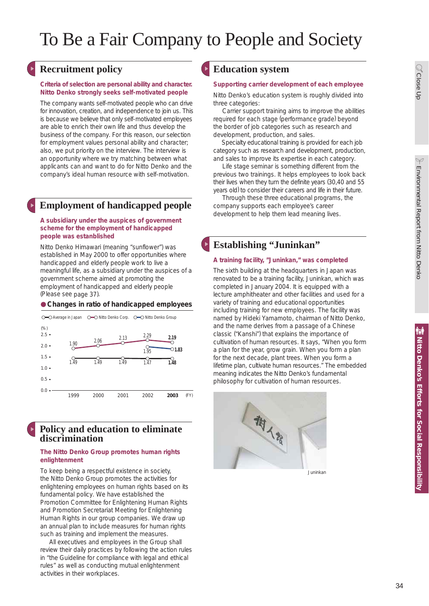# To Be a Fair Company to People and Society

## **Recruitment policy Education system**

#### **Criteria of selection are personal ability and character. Nitto Denko strongly seeks self-motivated people**

The company wants self-motivated people who can drive for innovation, creation, and independence to join us. This is because we believe that only self-motivated employees are able to enrich their own life and thus develop the business of the company. For this reason, our selection for employment values personal ability and character; also, we put priority on the interview. The interview is an opportunity where we try matching between what applicants can and want to do for Nitto Denko and the company's ideal human resource with self-motivation.

## **Employment of handicapped people**

#### **A subsidiary under the auspices of government scheme for the employment of handicapped people was estanblished**

Nitto Denko Himawari (meaning "sunflower") was established in May 2000 to offer opportunities where handicapped and elderly people work to live a meaningful life, as a subsidiary under the auspices of a government scheme aimed at promoting the employment of handicapped and elderly people (Please see page 37).

## **Changes in ratio of handicapped employees**



## **Policy and education to eliminate discrimination**

#### **The Nitto Denko Group promotes human rights enlightenment**

To keep being a respectful existence in society, the Nitto Denko Group promotes the activities for enlightening employees on human rights based on its fundamental policy. We have established the Promotion Committee for Enlightening Human Rights and Promotion Secretariat Meeting for Enlightening Human Rights in our group companies. We draw up an annual plan to include measures for human rights such as training and implement the measures.

 All executives and employees in the Group shall review their daily practices by following the action rules in "the Guideline for compliance with legal and ethical rules" as well as conducting mutual enlightenment activities in their workplaces.

## **Supporting carrier development of each employee**

Nitto Denko's education system is roughly divided into three categories:

 Carrier support training aims to improve the abilities required for each stage (performance grade) beyond the border of job categories such as research and development, production, and sales.

 Specialty educational training is provided for each job category such as research and development, production, and sales to improve its expertise in each category.

 Life stage seminar is something different from the previous two trainings. It helps employees to look back their lives when they turn the definite years (30,40 and 55 years old) to consider their careers and life in their future.

 Through these three educational programs, the company supports each employee's career development to help them lead meaning lives.

## **Establishing "Juninkan"**

## **A training facility, "Juninkan," was completed**

The sixth building at the headquarters in Japan was renovated to be a training facility, Juninkan, which was completed in January 2004. It is equipped with a lecture amphitheater and other facilities and used for a variety of training and educational opportunities including training for new employees. The facility was named by Hideki Yamamoto, chairman of Nitto Denko, and the name derives from a passage of a Chinese classic ("Kanshi") that explains the importance of cultivation of human resources. It says, "When you form a plan for the year, grow grain. When you form a plan for the next decade, plant trees. When you form a lifetime plan, cultivate human resources." The embedded meaning indicates the Nitto Denko's fundamental philosophy for cultivation of human resources.



Juninkan